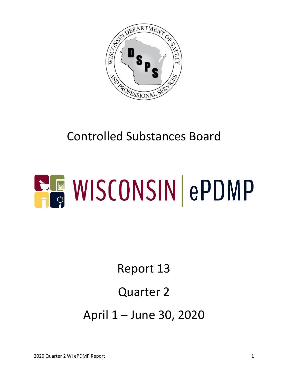

## Controlled Substances Board



# Report 13

#### Quarter 2

April 1 – June 30, 2020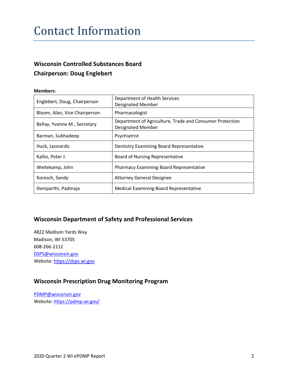#### Contact Information

#### **Wisconsin Controlled Substances Board Chairperson: Doug Englebert**

#### **Members:**

| Englebert, Doug, Chairperson  | Department of Health Services<br><b>Designated Member</b>                            |  |  |
|-------------------------------|--------------------------------------------------------------------------------------|--|--|
| Bloom, Alan, Vice Chairperson | Pharmacologist                                                                       |  |  |
| Bellay, Yvonne M., Secretary  | Department of Agriculture, Trade and Consumer Protection<br><b>Designated Member</b> |  |  |
| Barman, Subhadeep             | Psychiatrist                                                                         |  |  |
| Huck, Leonardo                | Dentistry Examining Board Representative                                             |  |  |
| Kallio, Peter J.              | <b>Board of Nursing Representative</b>                                               |  |  |
| Weitekamp, John               | <b>Pharmacy Examining Board Representative</b>                                       |  |  |
| Koresch, Sandy                | <b>Attorney General Designee</b>                                                     |  |  |
| Doniparthi, Padmaja           | <b>Medical Examining Board Representative</b>                                        |  |  |

#### **Wisconsin Department of Safety and Professional Services**

4822 Madison Yards Way Madison, WI 53705 608-266-2112 [DSPS@wisconsin.gov](mailto:DSPS@wisconsin.gov) Website[: https://dsps.wi.gov](https://dsps.wi.gov/)

#### **Wisconsin Prescription Drug Monitoring Program**

[PDMP@wisconsin.gov](mailto:PDMP@wisconsin.gov) Website[: https://pdmp.wi.gov/](https://pdmp.wi.gov/)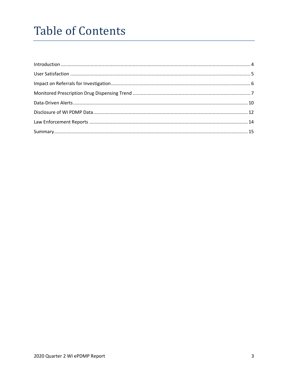## **Table of Contents**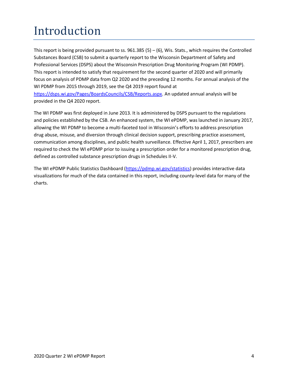# <span id="page-3-0"></span>Introduction

This report is being provided pursuant to ss.  $961.385(5) - (6)$ , Wis. Stats., which requires the Controlled Substances Board (CSB) to submit a quarterly report to the Wisconsin Department of Safety and Professional Services (DSPS) about the Wisconsin Prescription Drug Monitoring Program (WI PDMP). This report is intended to satisfy that requirement for the second quarter of 2020 and will primarily focus on analysis of PDMP data from Q2 2020 and the preceding 12 months. For annual analysis of the WI PDMP from 2015 through 2019, see the Q4 2019 report found at [https://dsps.wi.gov/Pages/BoardsCouncils/CSB/Reports.aspx.](https://dsps.wi.gov/Pages/BoardsCouncils/CSB/Reports.aspx) An updated annual analysis will be provided in the Q4 2020 report.

The WI PDMP was first deployed in June 2013. It is administered by DSPS pursuant to the regulations and policies established by the CSB. An enhanced system, the WI ePDMP, was launched in January 2017, allowing the WI PDMP to become a multi-faceted tool in Wisconsin's efforts to address prescription drug abuse, misuse, and diversion through clinical decision support, prescribing practice assessment, communication among disciplines, and public health surveillance. Effective April 1, 2017, prescribers are required to check the WI ePDMP prior to issuing a prescription order for a monitored prescription drug, defined as controlled substance prescription drugs in Schedules II-V.

The WI ePDMP Public Statistics Dashboard [\(https://pdmp.wi.gov/statistics\)](https://pdmp.wi.gov/statistics) provides interactive data visualizations for much of the data contained in this report, including county-level data for many of the charts.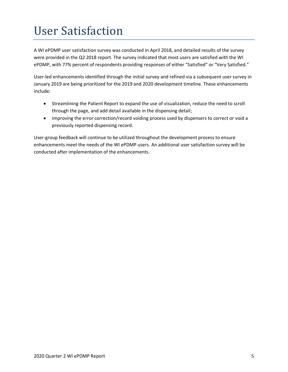## <span id="page-4-0"></span>User Satisfaction

A WI ePDMP user satisfaction survey was conducted in April 2018, and detailed results of the survey were provided in the Q2 2018 report. The survey indicated that most users are satisfied with the WI ePDMP, with 77% percent of respondents providing responses of either "Satisfied" or "Very Satisfied."

User-led enhancements identified through the initial survey and refined via a subsequent user survey in January 2019 are being prioritized for the 2019 and 2020 development timeline. These enhancements include:

- Streamlining the Patient Report to expand the use of visualization, reduce the need to scroll through the page, and add detail available in the dispensing detail;
- Improving the error correction/record voiding process used by dispensers to correct or void a previously reported dispensing record.

User-group feedback will continue to be utilized throughout the development process to ensure enhancements meet the needs of the WI ePDMP users. An additional user satisfaction survey will be conducted after implementation of the enhancements.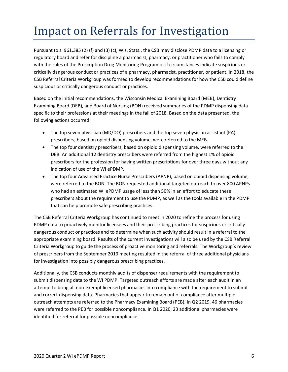### <span id="page-5-0"></span>Impact on Referrals for Investigation

Pursuant to s. 961.385 (2) (f) and (3) (c), Wis. Stats., the CSB may disclose PDMP data to a licensing or regulatory board and refer for discipline a pharmacist, pharmacy, or practitioner who fails to comply with the rules of the Prescription Drug Monitoring Program or if circumstances indicate suspicious or critically dangerous conduct or practices of a pharmacy, pharmacist, practitioner, or patient. In 2018, the CSB Referral Criteria Workgroup was formed to develop recommendations for how the CSB could define suspicious or critically dangerous conduct or practices.

Based on the initial recommendations, the Wisconsin Medical Examining Board (MEB), Dentistry Examining Board (DEB), and Board of Nursing (BON) received summaries of the PDMP dispensing data specific to their professions at their meetings in the fall of 2018. Based on the data presented, the following actions occurred:

- The top seven physician (MD/DO) prescribers and the top seven physician assistant (PA) prescribers, based on opioid dispensing volume, were referred to the MEB.
- The top four dentistry prescribers, based on opioid dispensing volume, were referred to the DEB. An additional 12 dentistry prescribers were referred from the highest 1% of opioid prescribers for the profession for having written prescriptions for over three days without any indication of use of the WI ePDMP.
- The top four Advanced Practice Nurse Prescribers (APNP), based on opioid dispensing volume, were referred to the BON. The BON requested additional targeted outreach to over 800 APNPs who had an estimated WI ePDMP usage of less than 50% in an effort to educate these prescribers about the requirement to use the PDMP, as well as the tools available in the PDMP that can help promote safe prescribing practices.

The CSB Referral Criteria Workgroup has continued to meet in 2020 to refine the process for using PDMP data to proactively monitor licensees and their prescribing practices for suspicious or critically dangerous conduct or practices and to determine when such activity should result in a referral to the appropriate examining board. Results of the current investigations will also be used by the CSB Referral Criteria Workgroup to guide the process of proactive monitoring and referrals. The Workgroup's review of prescribers from the September 2019 meeting resulted in the referral of three additional physicians for investigation into possibly dangerous prescribing practices.

Additionally, the CSB conducts monthly audits of dispenser requirements with the requirement to submit dispensing data to the WI PDMP. Targeted outreach efforts are made after each audit in an attempt to bring all non-exempt licensed pharmacies into compliance with the requirement to submit and correct dispensing data. Pharmacies that appear to remain out of compliance after multiple outreach attempts are referred to the Pharmacy Examining Board (PEB). In Q2 2019, 46 pharmacies were referred to the PEB for possible noncompliance. In Q1 2020, 23 additional pharmacies were identified for referral for possible noncompliance.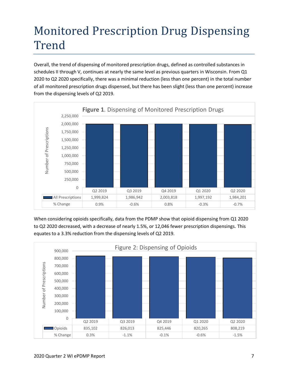# <span id="page-6-0"></span>Monitored Prescription Drug Dispensing Trend

Overall, the trend of dispensing of monitored prescription drugs, defined as controlled substances in schedules II through V, continues at nearly the same level as previous quarters in Wisconsin. From Q1 2020 to Q2 2020 specifically, there was a minimal reduction (less than one percent) in the total number of all monitored prescription drugs dispensed, but there has been slight (less than one percent) increase from the dispensing levels of Q2 2019.



When considering opioids specifically, data from the PDMP show that opioid dispensing from Q1 2020 to Q2 2020 decreased, with a decrease of nearly 1.5%, or 12,046 fewer prescription dispensings. This equates to a 3.3% reduction from the dispensing levels of Q2 2019.

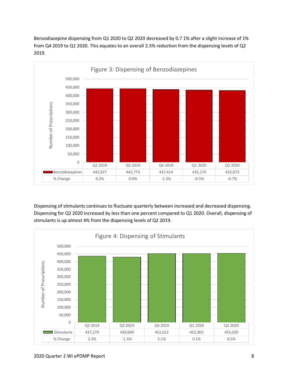Benzodiazepine dispensing from Q1 2020 to Q2 2020 decreased by 0.7 1% after a slight increase of 1% from Q4 2019 to Q1 2020. This equates to an overall 2.5% reduction from the dispensing levels of Q2 2019.



Dispensing of stimulants continues to fluctuate quarterly between increased and decreased dispensing. Dispensing for Q2 2020 increased by less than one percent compared to Q1 2020. Overall, dispensing of stimulants is up almost 4% from the dispensing levels of Q2 2019.

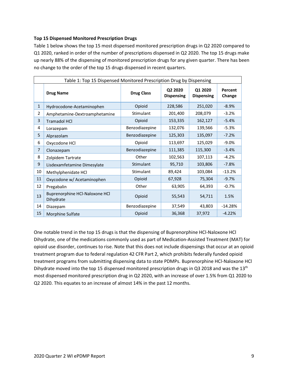#### **Top 15 Dispensed Monitored Prescription Drugs**

Table 1 below shows the top 15 most dispensed monitored prescription drugs in Q2 2020 compared to Q1 2020, ranked in order of the number of prescriptions dispensed in Q2 2020. The top 15 drugs make up nearly 88% of the dispensing of monitored prescription drugs for any given quarter. There has been no change to the order of the top 15 drugs dispensed in recent quarters.

| Table 1: Top 15 Dispensed Monitored Prescription Drug by Dispensing |                                             |                   |                              |                              |                   |  |  |
|---------------------------------------------------------------------|---------------------------------------------|-------------------|------------------------------|------------------------------|-------------------|--|--|
|                                                                     | <b>Drug Name</b>                            | <b>Drug Class</b> | Q2 2020<br><b>Dispensing</b> | Q1 2020<br><b>Dispensing</b> | Percent<br>Change |  |  |
| $\mathbf{1}$                                                        | Hydrocodone-Acetaminophen                   | Opioid            | 228,586                      | 251,020                      | $-8.9%$           |  |  |
| 2                                                                   | Amphetamine-Dextroamphetamine               | Stimulant         | 201,400                      | 208,079                      | $-3.2%$           |  |  |
| 3                                                                   | <b>Tramadol HCI</b>                         | Opioid            | 153,335                      | 162,127                      | $-5.4%$           |  |  |
| 4                                                                   | Lorazepam                                   | Benzodiazepine    | 132,076                      | 139,566                      | $-5.3%$           |  |  |
| 5                                                                   | Alprazolam                                  | Benzodiazepine    | 125,303                      | 135,097                      | $-7.2%$           |  |  |
| 6                                                                   | Oxycodone HCl                               | Opioid            | 113,697                      | 125,029                      | $-9.0%$           |  |  |
| 7                                                                   | Clonazepam                                  | Benzodiazepine    | 111,385                      | 115,300                      | $-3.4%$           |  |  |
| 8                                                                   | Zolpidem Tartrate                           | Other             | 102,563                      | 107,113                      | $-4.2%$           |  |  |
| 9                                                                   | Lisdexamfetamine Dimesylate                 | Stimulant         | 95,710                       | 103,806                      | $-7.8%$           |  |  |
| 10                                                                  | Methylphenidate HCl                         | Stimulant         | 89,424                       | 103,084                      | $-13.2%$          |  |  |
| 11                                                                  | Oxycodone w/ Acetaminophen                  | Opioid            | 67,928                       | 75,304                       | $-9.7%$           |  |  |
| 12                                                                  | Pregabalin                                  | Other             | 63,905                       | 64,393                       | $-0.7%$           |  |  |
| 13                                                                  | Buprenorphine HCl-Naloxone HCl<br>Dihydrate | Opioid            | 55,543                       | 54,711                       | 1.5%              |  |  |
| 14                                                                  | Diazepam                                    | Benzodiazepine    | 37,549                       | 43,803                       | $-14.28%$         |  |  |
| 15                                                                  | Morphine Sulfate                            | Opioid            | 36,368                       | 37,972                       | $-4.22%$          |  |  |

<span id="page-8-0"></span>One notable trend in the top 15 drugs is that the dispensing of Buprenorphine HCl-Naloxone HCl Dihydrate, one of the medications commonly used as part of Medication-Assisted Treatment (MAT) for opioid use disorder, continues to rise. Note that this does not include dispensings that occur at an opioid treatment program due to federal regulation 42 CFR Part 2, which prohibits federally funded opioid treatment programs from submitting dispensing data to state PDMPs. Buprenorphine HCl-Naloxone HCl Dihydrate moved into the top 15 dispensed monitored prescription drugs in Q3 2018 and was the 13<sup>th</sup> most dispensed monitored prescription drug in Q2 2020, with an increase of over 1.5% from Q1 2020 to Q2 2020. This equates to an increase of almost 14% in the past 12 months.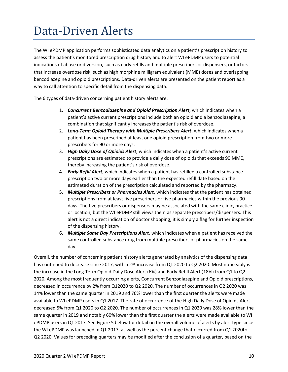#### Data-Driven Alerts

The WI ePDMP application performs sophisticated data analytics on a patient's prescription history to assess the patient's monitored prescription drug history and to alert WI ePDMP users to potential indications of abuse or diversion, such as early refills and multiple prescribers or dispensers, or factors that increase overdose risk, such as high morphine milligram equivalent (MME) doses and overlapping benzodiazepine and opioid prescriptions. Data-driven alerts are presented on the patient report as a way to call attention to specific detail from the dispensing data.

The 6 types of data-driven concerning patient history alerts are:

- 1. *Concurrent Benzodiazepine and Opioid Prescription Alert*, which indicates when a patient's active current prescriptions include both an opioid and a benzodiazepine, a combination that significantly increases the patient's risk of overdose.
- 2. *Long-Term Opioid Therapy with Multiple Prescribers Alert*, which indicates when a patient has been prescribed at least one opioid prescription from two or more prescribers for 90 or more days.
- 3. *High Daily Dose of Opioids Alert*, which indicates when a patient's active current prescriptions are estimated to provide a daily dose of opioids that exceeds 90 MME, thereby increasing the patient's risk of overdose.
- 4. *Early Refill Alert*, which indicates when a patient has refilled a controlled substance prescription two or more days earlier than the expected refill date based on the estimated duration of the prescription calculated and reported by the pharmacy.
- 5. *Multiple Prescribers or Pharmacies Alert*, which indicates that the patient has obtained prescriptions from at least five prescribers or five pharmacies within the previous 90 days. The five prescribers or dispensers may be associated with the same clinic, practice or location, but the WI ePDMP still views them as separate prescribers/dispensers. This alert is not a direct indication of doctor shopping; it is simply a flag for further inspection of the dispensing history.
- 6. *Multiple Same Day Prescriptions Alert*, which indicates when a patient has received the same controlled substance drug from multiple prescribers or pharmacies on the same day.

Overall, the number of concerning patient history alerts generated by analytics of the dispensing data has continued to decrease since 2017, with a 2% increase from Q1 2020 to Q2 2020. Most noticeably is the increase in the Long Term Opioid Daily Dose Alert (6%) and Early Refill Alert (18%) from Q1 to Q2 2020. Among the most frequently occurring alerts, Concurrent Benzodiazepine and Opioid prescriptions, decreased in occurrence by 2% from Q12020 to Q2 2020. The number of occurrences in Q2 2020 was 14% lower than the same quarter in 2019 and 76% lower than the first quarter the alerts were made available to WI ePDMP users in Q1 2017. The rate of occurrence of the High Daily Dose of Opioids Alert decreased 5% from Q1 2020 to Q2 2020. The number of occurrences in Q1 2020 was 28% lower than the same quarter in 2019 and notably 60% lower than the first quarter the alerts were made available to WI ePDMP users in Q1 2017. See Figure 5 below for detail on the overall volume of alerts by alert type since the WI ePDMP was launched in Q1 2017, as well as the percent change that occurred from Q1 2020to Q2 2020. Values for preceding quarters may be modified after the conclusion of a quarter, based on the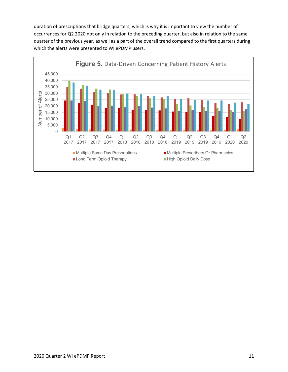duration of prescriptions that bridge quarters, which is why it is important to view the number of occurrences for Q2 2020 not only in relation to the preceding quarter, but also in relation to the same quarter of the previous year, as well as a part of the overall trend compared to the first quarters during which the alerts were presented to WI ePDMP users.

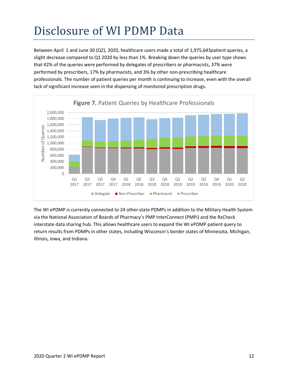# <span id="page-11-0"></span>Disclosure of WI PDMP Data

Between April 1 and June 30 (Q2), 2020, healthcare users made a total of 1,975,643patient queries, a slight decrease compared to Q1 2020 by less than 1%. Breaking down the queries by user type shows that 42% of the queries were performed by delegates of prescribers or pharmacists, 37% were performed by prescribers, 17% by pharmacists, and 3% by other non-prescribing healthcare professionals. The number of patient queries per month is continuing to increase, even with the overall lack of significant increase seen in the dispensing of monitored prescription drugs.



The WI ePDMP is currently connected to 24 other state PDMPs in addition to the Military Health System via the National Association of Boards of Pharmacy's PMP InterConnect (PMPi) and the RxCheck interstate data sharing hub. This allows healthcare users to expand the WI ePDMP patient query to return results from PDMPs in other states, including Wisconsin's border states of Minnesota, Michigan, Illinois, Iowa, and Indiana.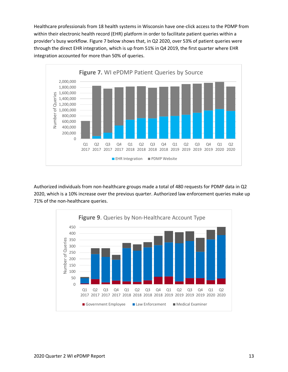Healthcare professionals from 18 health systems in Wisconsin have one-click access to the PDMP from within their electronic health record (EHR) platform in order to facilitate patient queries within a provider's busy workflow. Figure 7 below shows that, in Q2 2020, over 53% of patient queries were through the direct EHR integration, which is up from 51% in Q4 2019, the first quarter where EHR integration accounted for more than 50% of queries.



Authorized individuals from non-healthcare groups made a total of 480 requests for PDMP data in Q2 2020, which is a 10% increase over the previous quarter. Authorized law enforcement queries make up 71% of the non-healthcare queries.

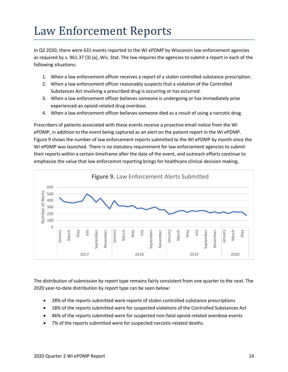#### <span id="page-13-0"></span>Law Enforcement Reports

In Q2 2020, there were 631 events reported to the WI ePDMP by Wisconsin law enforcement agencies as required by s. [961.37 \(3\) \(a\),](https://docs.legis.wisconsin.gov/document/statutes/961.37(3)(a)) Wis. Stat. The law requires the agencies to submit a report in each of the following situations:

- 1. When a law enforcement officer receives a report of a stolen controlled substance prescription.
- 2. When a law enforcement officer reasonably suspects that a violation of the Controlled Substances Act involving a prescribed drug is occurring or has occurred.
- 3. When a law enforcement officer believes someone is undergoing or has immediately prior experienced an opioid-related drug overdose.
- 4. When a law enforcement officer believes someone died as a result of using a narcotic drug.

Prescribers of patients associated with these events receive a proactive email notice from the WI ePDMP, in addition to the event being captured as an alert on the patient report in the WI ePDMP. Figure 9 shows the number of law enforcement reports submitted to the WI ePDMP by month since the WI ePDMP was launched. There is no statutory requirement for law enforcement agencies to submit their reports within a certain timeframe after the date of the event, and outreach efforts continue to emphasize the value that law enforcemnt reporting brings for healthcare clinical decision making.



The distribution of submission by report type remains fairly consistent from one quarter to the next. The 2020 year-to-date distribution by report type can be seen below:

- 28% of the reports submitted were reports of stolen controlled substance prescriptions
- 18% of the reports submitted were for suspected violations of the Controlled Substances Act
- 46% of the reports submitted were for suspected non-fatal opioid-related overdose events
- 7% of the reports submitted were for suspected narcotic-related deaths.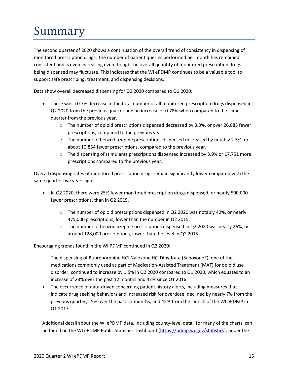# <span id="page-14-0"></span>Summary

The second quarter of 2020 shows a continuation of the overall trend of consistency in dispensing of monitored prescription drugs. The number of patient queries performed per month has remained consistent and is even increasing even though the overall quantity of monitored prescription drugs being dispensed may fluctuate. This indicates that the WI ePDMP continues to be a valuable tool to support safe prescribing, treatment, and dispensing decisions.

Data show overall decreased dispensing for Q2 2020 compared to Q1 2020:

- There was a 0.7% decrease in the total number of all monitored prescription drugs dispensed in Q2 2020 from the previous quarter and an increase of 0.78% when compared to the same quarter from the previous year.
	- o The number of opioid prescriptions dispensed decreased by 3.3%, or over 26,883 fewer prescriptions, compared to the previous year.
	- $\circ$  The number of benzodiazepine prescriptions dispensed decreased by notably 2.5%, or about 10,854 fewer prescriptions, compared to the previous year.
	- $\circ$  The dispensing of stimulants prescriptions dispensed increased by 3.9% or 17,751 more prescriptions compared to the previous year.

Overall dispensing rates of monitored prescription drugs remain significantly lower compared with the same quarter five years ago.

- In Q2 2020, there were 25% fewer monitored prescription drugs dispensed, or nearly 500,000 fewer prescriptions, than in Q2 2015.
	- $\circ$  The number of opioid prescriptions dispensed in Q2 2020 was notably 40%, or nearly 475,000 prescriptions, lower than the number in Q2 2015.
	- $\circ$  The number of benzodiazepine prescriptions dispensed in Q2 2020 was nearly 26%, or around 128,000 prescriptions, lower than the level in Q2 2015.

Encouraging trends found in the WI PDMP continued in Q2 2020:

The dispensing of Buprenorphine HCl-Naloxone HCl Dihydrate (Suboxone®), one of the medications commonly used as part of Medication-Assisted Treatment (MAT) for opioid use disorder, continued to increase by 1.5% in Q2 2020 compared to Q1 2020, which equates to an increase of 23% over the past 12 months and 47% since Q1 2016.

• The occurrence of data-driven concerning patient history alerts, including measures that indicate drug seeking behaviors and increased risk for overdose, declined by nearly 7% from the previous quarter, 15% over the past 12 months, and 45% from the launch of the WI ePDMP in Q1 2017.

Additional detail about the WI ePDMP data, including county-level detail for many of the charts, can be found on the WI ePDMP Public Statistics Dashboard [\(https://pdmp.wi.gov/statistics\)](https://pdmp.wi.gov/statistics), under the